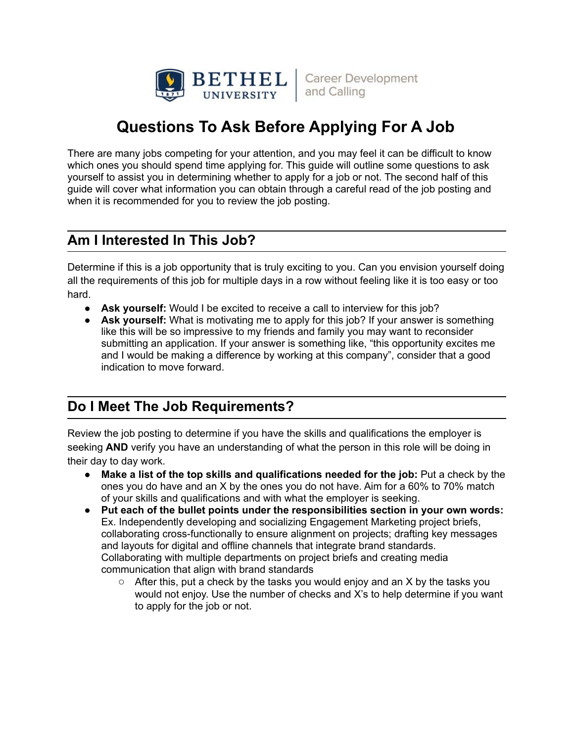

# **Questions To Ask Before Applying For A Job**

There are many jobs competing for your attention, and you may feel it can be difficult to know which ones you should spend time applying for. This guide will outline some questions to ask yourself to assist you in determining whether to apply for a job or not. The second half of this guide will cover what information you can obtain through a careful read of the job posting and when it is recommended for you to review the job posting.

#### **Am I Interested In This Job?**

Determine if this is a job opportunity that is truly exciting to you. Can you envision yourself doing all the requirements of this job for multiple days in a row without feeling like it is too easy or too hard.

- **● Ask yourself:** Would I be excited to receive a call to interview for this job?
- **● Ask yourself:** What is motivating me to apply for this job? If your answer is something like this will be so impressive to my friends and family you may want to reconsider submitting an application. If your answer is something like, "this opportunity excites me and I would be making a difference by working at this company", consider that a good indication to move forward.

## **Do I Meet The Job Requirements?**

Review the job posting to determine if you have the skills and qualifications the employer is seeking **AND** verify you have an understanding of what the person in this role will be doing in their day to day work.

- **● Make a list of the top skills and qualifications needed for the job:** Put a check by the ones you do have and an X by the ones you do not have. Aim for a 60% to 70% match of your skills and qualifications and with what the employer is seeking.
- **● Put each of the bullet points under the responsibilities section in your own words:** Ex. Independently developing and socializing Engagement Marketing project briefs, collaborating cross-functionally to ensure alignment on projects; drafting key messages and layouts for digital and offline channels that integrate brand standards. Collaborating with multiple departments on project briefs and creating media communication that align with brand standards
	- After this, put a check by the tasks you would enjoy and an X by the tasks you would not enjoy. Use the number of checks and X's to help determine if you want to apply for the job or not.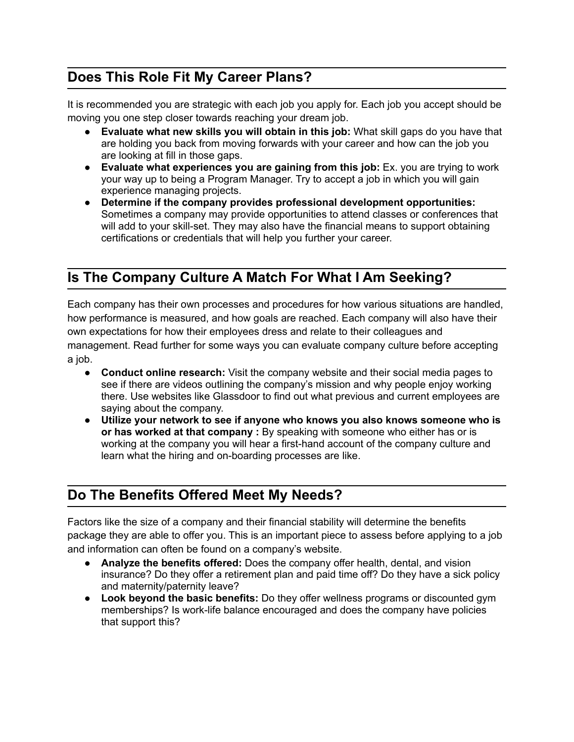### **Does This Role Fit My Career Plans?**

It is recommended you are strategic with each job you apply for. Each job you accept should be moving you one step closer towards reaching your dream job.

- **● Evaluate what new skills you will obtain in this job:** What skill gaps do you have that are holding you back from moving forwards with your career and how can the job you are looking at fill in those gaps.
- **● Evaluate what experiences you are gaining from this job:** Ex. you are trying to work your way up to being a Program Manager. Try to accept a job in which you will gain experience managing projects.
- **● Determine if the company provides professional development opportunities:** Sometimes a company may provide opportunities to attend classes or conferences that will add to your skill-set. They may also have the financial means to support obtaining certifications or credentials that will help you further your career.

#### **Is The Company Culture A Match For What I Am Seeking?**

Each company has their own processes and procedures for how various situations are handled, how performance is measured, and how goals are reached. Each company will also have their own expectations for how their employees dress and relate to their colleagues and management. Read further for some ways you can evaluate company culture before accepting a job.

- **● Conduct online research:** Visit the company website and their social media pages to see if there are videos outlining the company's mission and why people enjoy working there. Use websites like Glassdoor to find out what previous and current employees are saying about the company.
- **● Utilize your network to see if anyone who knows you also knows someone who is or has worked at that company :** By speaking with someone who either has or is working at the company you will hear a first-hand account of the company culture and learn what the hiring and on-boarding processes are like.

#### **Do The Benefits Offered Meet My Needs?**

Factors like the size of a company and their financial stability will determine the benefits package they are able to offer you. This is an important piece to assess before applying to a job and information can often be found on a company's website.

- **● Analyze the benefits offered:** Does the company offer health, dental, and vision insurance? Do they offer a retirement plan and paid time off? Do they have a sick policy and maternity/paternity leave?
- **● Look beyond the basic benefits:** Do they offer wellness programs or discounted gym memberships? Is work-life balance encouraged and does the company have policies that support this?